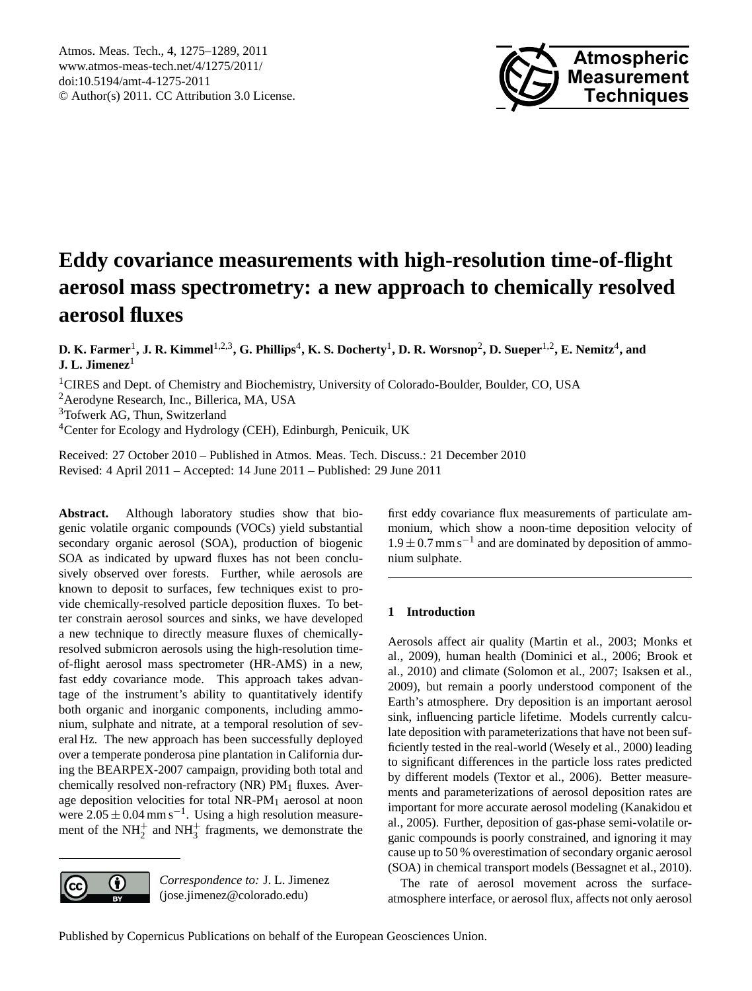

# <span id="page-0-0"></span>**Eddy covariance measurements with high-resolution time-of-flight aerosol mass spectrometry: a new approach to chemically resolved aerosol fluxes**

**D. K. Farmer**<sup>1</sup> **, J. R. Kimmel**1,2,3**, G. Phillips**<sup>4</sup> **, K. S. Docherty**<sup>1</sup> **, D. R. Worsnop**<sup>2</sup> **, D. Sueper**1,2**, E. Nemitz**<sup>4</sup> **, and J. L. Jimenez**<sup>1</sup>

<sup>1</sup>CIRES and Dept. of Chemistry and Biochemistry, University of Colorado-Boulder, Boulder, CO, USA

<sup>2</sup>Aerodyne Research, Inc., Billerica, MA, USA

<sup>3</sup>Tofwerk AG, Thun, Switzerland

<sup>4</sup>Center for Ecology and Hydrology (CEH), Edinburgh, Penicuik, UK

Received: 27 October 2010 – Published in Atmos. Meas. Tech. Discuss.: 21 December 2010 Revised: 4 April 2011 – Accepted: 14 June 2011 – Published: 29 June 2011

**Abstract.** Although laboratory studies show that biogenic volatile organic compounds (VOCs) yield substantial secondary organic aerosol (SOA), production of biogenic SOA as indicated by upward fluxes has not been conclusively observed over forests. Further, while aerosols are known to deposit to surfaces, few techniques exist to provide chemically-resolved particle deposition fluxes. To better constrain aerosol sources and sinks, we have developed a new technique to directly measure fluxes of chemicallyresolved submicron aerosols using the high-resolution timeof-flight aerosol mass spectrometer (HR-AMS) in a new, fast eddy covariance mode. This approach takes advantage of the instrument's ability to quantitatively identify both organic and inorganic components, including ammonium, sulphate and nitrate, at a temporal resolution of several Hz. The new approach has been successfully deployed over a temperate ponderosa pine plantation in California during the BEARPEX-2007 campaign, providing both total and chemically resolved non-refractory (NR)  $PM<sub>1</sub>$  fluxes. Average deposition velocities for total NR-PM<sup>1</sup> aerosol at noon were  $2.05 \pm 0.04$  mm s<sup>-1</sup>. Using a high resolution measurement of the  $NH_2^+$  and  $NH_3^+$  fragments, we demonstrate the



*Correspondence to:* J. L. Jimenez (jose.jimenez@colorado.edu)

first eddy covariance flux measurements of particulate ammonium, which show a noon-time deposition velocity of  $1.9 \pm 0.7$  mm s<sup>-1</sup> and are dominated by deposition of ammonium sulphate.

# **1 Introduction**

Aerosols affect air quality (Martin et al., 2003; Monks et al., 2009), human health (Dominici et al., 2006; Brook et al., 2010) and climate (Solomon et al., 2007; Isaksen et al., 2009), but remain a poorly understood component of the Earth's atmosphere. Dry deposition is an important aerosol sink, influencing particle lifetime. Models currently calculate deposition with parameterizations that have not been sufficiently tested in the real-world (Wesely et al., 2000) leading to significant differences in the particle loss rates predicted by different models (Textor et al., 2006). Better measurements and parameterizations of aerosol deposition rates are important for more accurate aerosol modeling (Kanakidou et al., 2005). Further, deposition of gas-phase semi-volatile organic compounds is poorly constrained, and ignoring it may cause up to 50 % overestimation of secondary organic aerosol (SOA) in chemical transport models (Bessagnet et al., 2010).

The rate of aerosol movement across the surfaceatmosphere interface, or aerosol flux, affects not only aerosol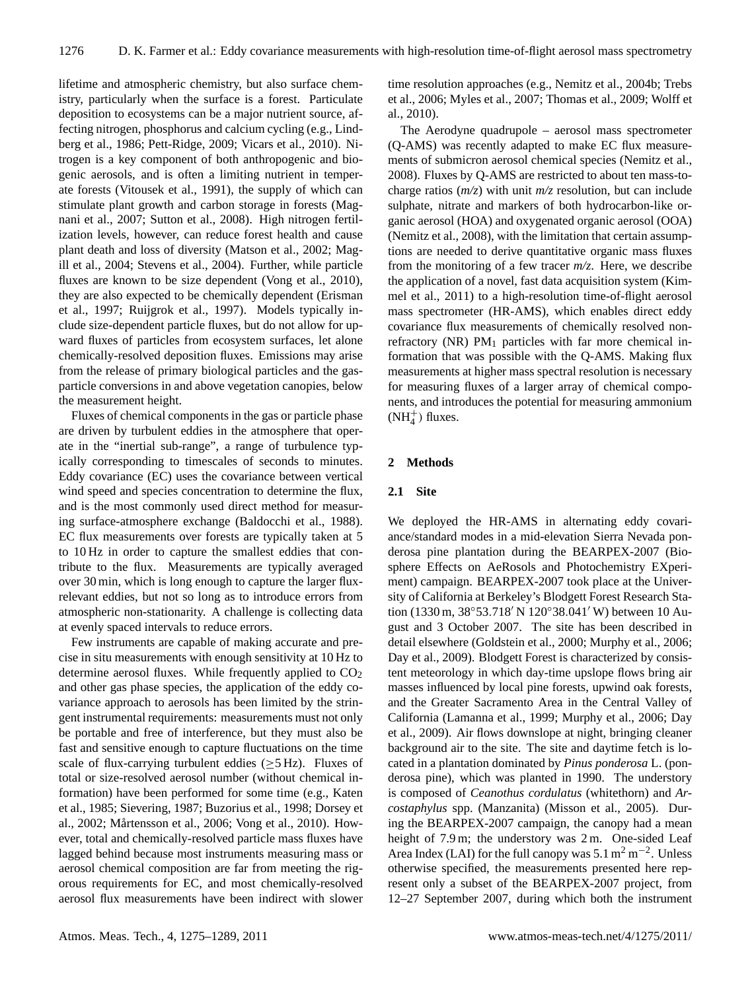lifetime and atmospheric chemistry, but also surface chemistry, particularly when the surface is a forest. Particulate deposition to ecosystems can be a major nutrient source, affecting nitrogen, phosphorus and calcium cycling (e.g., Lindberg et al., 1986; Pett-Ridge, 2009; Vicars et al., 2010). Nitrogen is a key component of both anthropogenic and biogenic aerosols, and is often a limiting nutrient in temperate forests (Vitousek et al., 1991), the supply of which can stimulate plant growth and carbon storage in forests (Magnani et al., 2007; Sutton et al., 2008). High nitrogen fertilization levels, however, can reduce forest health and cause plant death and loss of diversity (Matson et al., 2002; Magill et al., 2004; Stevens et al., 2004). Further, while particle fluxes are known to be size dependent (Vong et al., 2010), they are also expected to be chemically dependent (Erisman et al., 1997; Ruijgrok et al., 1997). Models typically include size-dependent particle fluxes, but do not allow for upward fluxes of particles from ecosystem surfaces, let alone chemically-resolved deposition fluxes. Emissions may arise from the release of primary biological particles and the gasparticle conversions in and above vegetation canopies, below the measurement height.

Fluxes of chemical components in the gas or particle phase are driven by turbulent eddies in the atmosphere that operate in the "inertial sub-range", a range of turbulence typically corresponding to timescales of seconds to minutes. Eddy covariance (EC) uses the covariance between vertical wind speed and species concentration to determine the flux, and is the most commonly used direct method for measuring surface-atmosphere exchange (Baldocchi et al., 1988). EC flux measurements over forests are typically taken at 5 to 10 Hz in order to capture the smallest eddies that contribute to the flux. Measurements are typically averaged over 30 min, which is long enough to capture the larger fluxrelevant eddies, but not so long as to introduce errors from atmospheric non-stationarity. A challenge is collecting data at evenly spaced intervals to reduce errors.

Few instruments are capable of making accurate and precise in situ measurements with enough sensitivity at 10 Hz to determine aerosol fluxes. While frequently applied to  $CO<sub>2</sub>$ and other gas phase species, the application of the eddy covariance approach to aerosols has been limited by the stringent instrumental requirements: measurements must not only be portable and free of interference, but they must also be fast and sensitive enough to capture fluctuations on the time scale of flux-carrying turbulent eddies ( $\geq$ 5 Hz). Fluxes of total or size-resolved aerosol number (without chemical information) have been performed for some time (e.g., Katen et al., 1985; Sievering, 1987; Buzorius et al., 1998; Dorsey et al., 2002; Mårtensson et al., 2006; Vong et al., 2010). However, total and chemically-resolved particle mass fluxes have lagged behind because most instruments measuring mass or aerosol chemical composition are far from meeting the rigorous requirements for EC, and most chemically-resolved aerosol flux measurements have been indirect with slower time resolution approaches (e.g., Nemitz et al., 2004b; Trebs et al., 2006; Myles et al., 2007; Thomas et al., 2009; Wolff et al., 2010).

The Aerodyne quadrupole – aerosol mass spectrometer (Q-AMS) was recently adapted to make EC flux measurements of submicron aerosol chemical species (Nemitz et al., 2008). Fluxes by Q-AMS are restricted to about ten mass-tocharge ratios (*m/z*) with unit *m/z* resolution, but can include sulphate, nitrate and markers of both hydrocarbon-like organic aerosol (HOA) and oxygenated organic aerosol (OOA) (Nemitz et al., 2008), with the limitation that certain assumptions are needed to derive quantitative organic mass fluxes from the monitoring of a few tracer *m/z*. Here, we describe the application of a novel, fast data acquisition system (Kimmel et al., 2011) to a high-resolution time-of-flight aerosol mass spectrometer (HR-AMS), which enables direct eddy covariance flux measurements of chemically resolved nonrefractory (NR)  $PM<sub>1</sub>$  particles with far more chemical information that was possible with the Q-AMS. Making flux measurements at higher mass spectral resolution is necessary for measuring fluxes of a larger array of chemical components, and introduces the potential for measuring ammonium  $(NH_4^+)$  fluxes.

#### **2 Methods**

# **2.1 Site**

We deployed the HR-AMS in alternating eddy covariance/standard modes in a mid-elevation Sierra Nevada ponderosa pine plantation during the BEARPEX-2007 (Biosphere Effects on AeRosols and Photochemistry EXperiment) campaign. BEARPEX-2007 took place at the University of California at Berkeley's Blodgett Forest Research Station (1330 m, 38°53.718′ N 120°38.041′ W) between 10 August and 3 October 2007. The site has been described in detail elsewhere (Goldstein et al., 2000; Murphy et al., 2006; Day et al., 2009). Blodgett Forest is characterized by consistent meteorology in which day-time upslope flows bring air masses influenced by local pine forests, upwind oak forests, and the Greater Sacramento Area in the Central Valley of California (Lamanna et al., 1999; Murphy et al., 2006; Day et al., 2009). Air flows downslope at night, bringing cleaner background air to the site. The site and daytime fetch is located in a plantation dominated by *Pinus ponderosa* L. (ponderosa pine), which was planted in 1990. The understory is composed of *Ceanothus cordulatus* (whitethorn) and *Arcostaphylus* spp. (Manzanita) (Misson et al., 2005). During the BEARPEX-2007 campaign, the canopy had a mean height of 7.9 m; the understory was 2 m. One-sided Leaf Area Index (LAI) for the full canopy was  $5.1 \text{ m}^2 \text{ m}^{-2}$ . Unless otherwise specified, the measurements presented here represent only a subset of the BEARPEX-2007 project, from 12–27 September 2007, during which both the instrument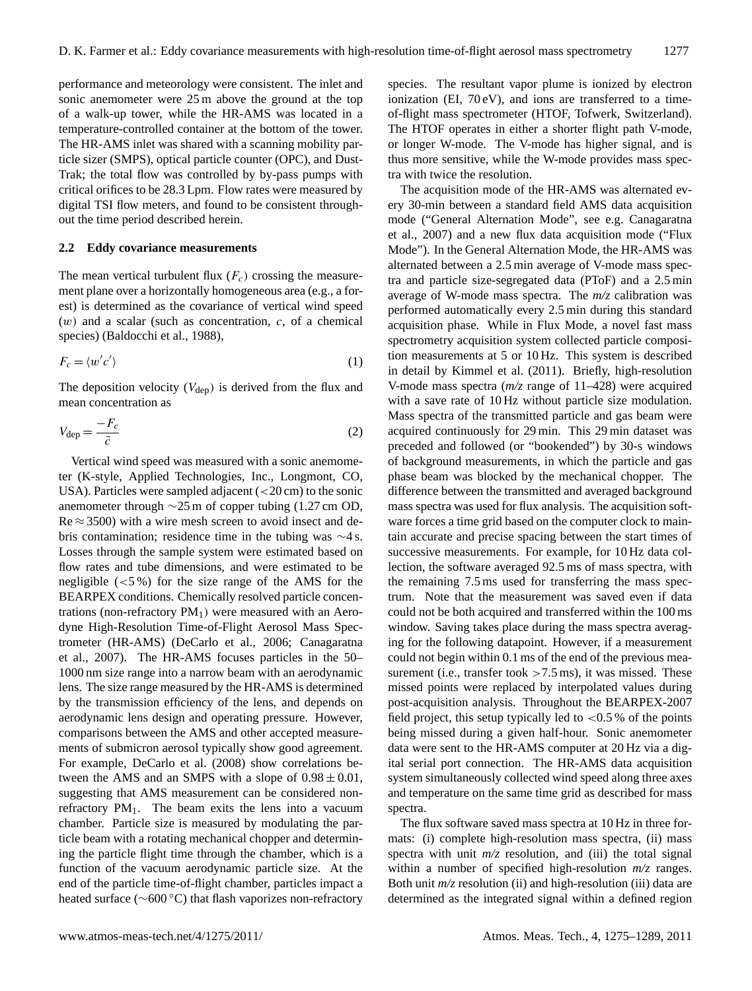performance and meteorology were consistent. The inlet and sonic anemometer were 25 m above the ground at the top of a walk-up tower, while the HR-AMS was located in a temperature-controlled container at the bottom of the tower. The HR-AMS inlet was shared with a scanning mobility particle sizer (SMPS), optical particle counter (OPC), and Dust-Trak; the total flow was controlled by by-pass pumps with critical orifices to be 28.3 Lpm. Flow rates were measured by digital TSI flow meters, and found to be consistent throughout the time period described herein.

# **2.2 Eddy covariance measurements**

The mean vertical turbulent flux  $(F_c)$  crossing the measurement plane over a horizontally homogeneous area (e.g., a forest) is determined as the covariance of vertical wind speed  $(w)$  and a scalar (such as concentration, c, of a chemical species) (Baldocchi et al., 1988),

$$
F_c = \langle w'c' \rangle \tag{1}
$$

The deposition velocity  $(V_{\text{dep}})$  is derived from the flux and mean concentration as

$$
V_{\rm dep} = \frac{-F_c}{\bar{c}}\tag{2}
$$

Vertical wind speed was measured with a sonic anemometer (K-style, Applied Technologies, Inc., Longmont, CO, USA). Particles were sampled adjacent  $\left( < 20 \text{ cm} \right)$  to the sonic anemometer through ∼25 m of copper tubing (1.27 cm OD,  $Re \approx 3500$ ) with a wire mesh screen to avoid insect and debris contamination; residence time in the tubing was ∼4 s. Losses through the sample system were estimated based on flow rates and tube dimensions, and were estimated to be negligible (<5 %) for the size range of the AMS for the BEARPEX conditions. Chemically resolved particle concentrations (non-refractory  $PM<sub>1</sub>$ ) were measured with an Aerodyne High-Resolution Time-of-Flight Aerosol Mass Spectrometer (HR-AMS) (DeCarlo et al., 2006; Canagaratna et al., 2007). The HR-AMS focuses particles in the 50– 1000 nm size range into a narrow beam with an aerodynamic lens. The size range measured by the HR-AMS is determined by the transmission efficiency of the lens, and depends on aerodynamic lens design and operating pressure. However, comparisons between the AMS and other accepted measurements of submicron aerosol typically show good agreement. For example, DeCarlo et al. (2008) show correlations between the AMS and an SMPS with a slope of  $0.98 \pm 0.01$ , suggesting that AMS measurement can be considered nonrefractory  $PM<sub>1</sub>$ . The beam exits the lens into a vacuum chamber. Particle size is measured by modulating the particle beam with a rotating mechanical chopper and determining the particle flight time through the chamber, which is a function of the vacuum aerodynamic particle size. At the end of the particle time-of-flight chamber, particles impact a heated surface (∼600 ◦C) that flash vaporizes non-refractory species. The resultant vapor plume is ionized by electron ionization (EI,  $70 \text{ eV}$ ), and ions are transferred to a timeof-flight mass spectrometer (HTOF, Tofwerk, Switzerland). The HTOF operates in either a shorter flight path V-mode, or longer W-mode. The V-mode has higher signal, and is thus more sensitive, while the W-mode provides mass spectra with twice the resolution.

The acquisition mode of the HR-AMS was alternated every 30-min between a standard field AMS data acquisition mode ("General Alternation Mode", see e.g. Canagaratna et al., 2007) and a new flux data acquisition mode ("Flux Mode"). In the General Alternation Mode, the HR-AMS was alternated between a 2.5 min average of V-mode mass spectra and particle size-segregated data (PToF) and a 2.5 min average of W-mode mass spectra. The *m/z* calibration was performed automatically every 2.5 min during this standard acquisition phase. While in Flux Mode, a novel fast mass spectrometry acquisition system collected particle composition measurements at 5 or 10 Hz. This system is described in detail by Kimmel et al. (2011). Briefly, high-resolution V-mode mass spectra (*m/z* range of 11–428) were acquired with a save rate of 10 Hz without particle size modulation. Mass spectra of the transmitted particle and gas beam were acquired continuously for 29 min. This 29 min dataset was preceded and followed (or "bookended") by 30-s windows of background measurements, in which the particle and gas phase beam was blocked by the mechanical chopper. The difference between the transmitted and averaged background mass spectra was used for flux analysis. The acquisition software forces a time grid based on the computer clock to maintain accurate and precise spacing between the start times of successive measurements. For example, for 10 Hz data collection, the software averaged 92.5 ms of mass spectra, with the remaining 7.5 ms used for transferring the mass spectrum. Note that the measurement was saved even if data could not be both acquired and transferred within the 100 ms window. Saving takes place during the mass spectra averaging for the following datapoint. However, if a measurement could not begin within 0.1 ms of the end of the previous measurement (i.e., transfer took  $>7.5$  ms), it was missed. These missed points were replaced by interpolated values during post-acquisition analysis. Throughout the BEARPEX-2007 field project, this setup typically led to  $<$  0.5 % of the points being missed during a given half-hour. Sonic anemometer data were sent to the HR-AMS computer at 20 Hz via a digital serial port connection. The HR-AMS data acquisition system simultaneously collected wind speed along three axes and temperature on the same time grid as described for mass spectra.

The flux software saved mass spectra at 10 Hz in three formats: (i) complete high-resolution mass spectra, (ii) mass spectra with unit  $m/z$  resolution, and (iii) the total signal within a number of specified high-resolution *m/z* ranges. Both unit *m/z* resolution (ii) and high-resolution (iii) data are determined as the integrated signal within a defined region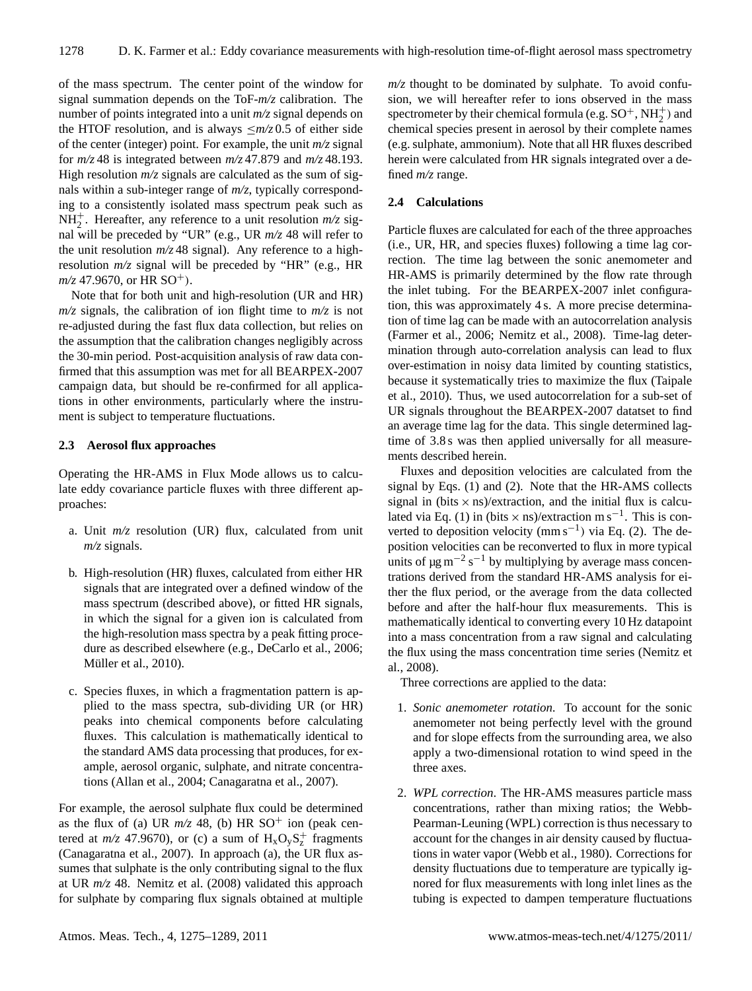of the mass spectrum. The center point of the window for signal summation depends on the ToF-*m/z* calibration. The number of points integrated into a unit *m/z* signal depends on the HTOF resolution, and is always  $\leq m/z$  0.5 of either side of the center (integer) point. For example, the unit *m/z* signal for *m/z* 48 is integrated between *m/z* 47.879 and *m/z* 48.193. High resolution  $m/z$  signals are calculated as the sum of signals within a sub-integer range of *m/z*, typically corresponding to a consistently isolated mass spectrum peak such as  $NH_2^+$ . Hereafter, any reference to a unit resolution  $m/z$  signal will be preceded by "UR" (e.g., UR *m/z* 48 will refer to the unit resolution  $m/z$  48 signal). Any reference to a highresolution *m/z* signal will be preceded by "HR" (e.g., HR  $m/z$  47.9670, or HR SO<sup>+</sup>).

Note that for both unit and high-resolution (UR and HR)  $m/z$  signals, the calibration of ion flight time to  $m/z$  is not re-adjusted during the fast flux data collection, but relies on the assumption that the calibration changes negligibly across the 30-min period. Post-acquisition analysis of raw data confirmed that this assumption was met for all BEARPEX-2007 campaign data, but should be re-confirmed for all applications in other environments, particularly where the instrument is subject to temperature fluctuations.

# **2.3 Aerosol flux approaches**

Operating the HR-AMS in Flux Mode allows us to calculate eddy covariance particle fluxes with three different approaches:

- a. Unit *m/z* resolution (UR) flux, calculated from unit *m/z* signals.
- b. High-resolution (HR) fluxes, calculated from either HR signals that are integrated over a defined window of the mass spectrum (described above), or fitted HR signals, in which the signal for a given ion is calculated from the high-resolution mass spectra by a peak fitting procedure as described elsewhere (e.g., DeCarlo et al., 2006; Müller et al., 2010).
- c. Species fluxes, in which a fragmentation pattern is applied to the mass spectra, sub-dividing UR (or HR) peaks into chemical components before calculating fluxes. This calculation is mathematically identical to the standard AMS data processing that produces, for example, aerosol organic, sulphate, and nitrate concentrations (Allan et al., 2004; Canagaratna et al., 2007).

For example, the aerosol sulphate flux could be determined as the flux of (a) UR  $m/z$  48, (b) HR SO<sup>+</sup> ion (peak centered at  $m/z$  47.9670), or (c) a sum of  $H_xO_yS_z^+$  fragments (Canagaratna et al., 2007). In approach (a), the UR flux assumes that sulphate is the only contributing signal to the flux at UR *m/z* 48. Nemitz et al. (2008) validated this approach for sulphate by comparing flux signals obtained at multiple  $m/z$  thought to be dominated by sulphate. To avoid confusion, we will hereafter refer to ions observed in the mass spectrometer by their chemical formula (e.g.  $SO^+$ ,  $NH_2^+$ ) and chemical species present in aerosol by their complete names (e.g. sulphate, ammonium). Note that all HR fluxes described herein were calculated from HR signals integrated over a defined *m/z* range.

#### **2.4 Calculations**

Particle fluxes are calculated for each of the three approaches (i.e., UR, HR, and species fluxes) following a time lag correction. The time lag between the sonic anemometer and HR-AMS is primarily determined by the flow rate through the inlet tubing. For the BEARPEX-2007 inlet configuration, this was approximately 4 s. A more precise determination of time lag can be made with an autocorrelation analysis (Farmer et al., 2006; Nemitz et al., 2008). Time-lag determination through auto-correlation analysis can lead to flux over-estimation in noisy data limited by counting statistics, because it systematically tries to maximize the flux (Taipale et al., 2010). Thus, we used autocorrelation for a sub-set of UR signals throughout the BEARPEX-2007 datatset to find an average time lag for the data. This single determined lagtime of 3.8 s was then applied universally for all measurements described herein.

Fluxes and deposition velocities are calculated from the signal by Eqs. (1) and (2). Note that the HR-AMS collects signal in (bits  $\times$  ns)/extraction, and the initial flux is calculated via Eq. (1) in (bits  $\times$  ns)/extraction m s<sup>-1</sup>. This is converted to deposition velocity (mm s<sup>-1</sup>) via Eq. (2). The deposition velocities can be reconverted to flux in more typical units of  $\mu$ g m<sup>-2</sup> s<sup>-1</sup> by multiplying by average mass concentrations derived from the standard HR-AMS analysis for either the flux period, or the average from the data collected before and after the half-hour flux measurements. This is mathematically identical to converting every 10 Hz datapoint into a mass concentration from a raw signal and calculating the flux using the mass concentration time series (Nemitz et al., 2008).

Three corrections are applied to the data:

- 1. *Sonic anemometer rotation.* To account for the sonic anemometer not being perfectly level with the ground and for slope effects from the surrounding area, we also apply a two-dimensional rotation to wind speed in the three axes.
- 2. *WPL correction*. The HR-AMS measures particle mass concentrations, rather than mixing ratios; the Webb-Pearman-Leuning (WPL) correction is thus necessary to account for the changes in air density caused by fluctuations in water vapor (Webb et al., 1980). Corrections for density fluctuations due to temperature are typically ignored for flux measurements with long inlet lines as the tubing is expected to dampen temperature fluctuations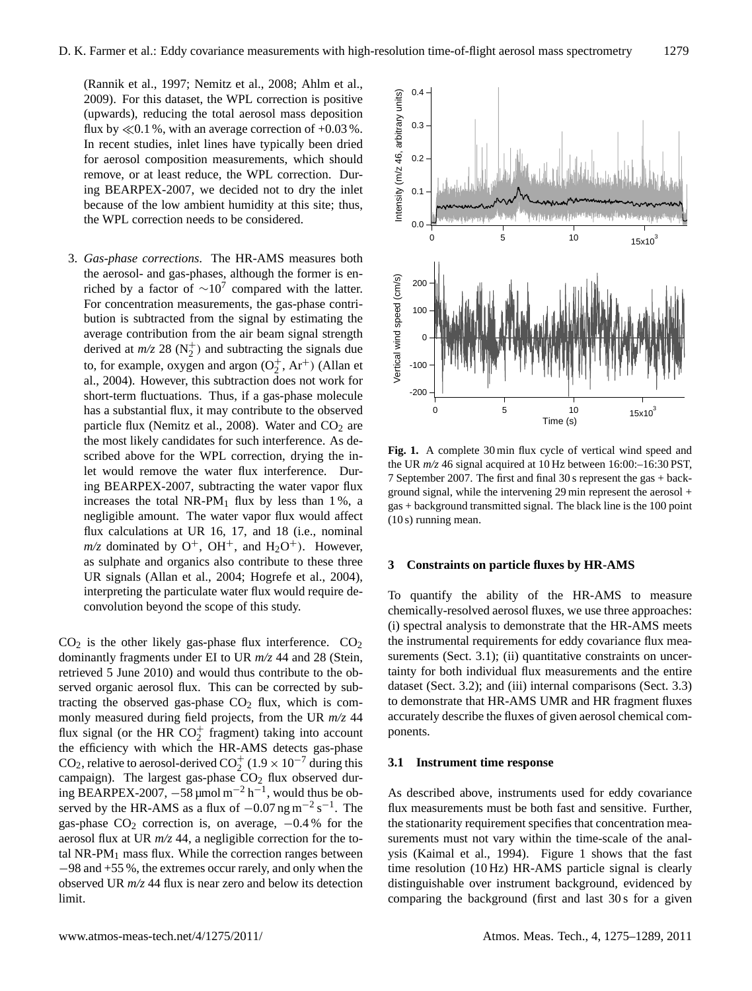(Rannik et al., 1997; Nemitz et al., 2008; Ahlm et al., 2009). For this dataset, the WPL correction is positive (upwards), reducing the total aerosol mass deposition flux by  $\ll 0.1$  %, with an average correction of +0.03 %. In recent studies, inlet lines have typically been dried for aerosol composition measurements, which should remove, or at least reduce, the WPL correction. During BEARPEX-2007, we decided not to dry the inlet because of the low ambient humidity at this site; thus, the WPL correction needs to be considered.

3. *Gas-phase corrections*. The HR-AMS measures both the aerosol- and gas-phases, although the former is enriched by a factor of  $\sim 10^7$  compared with the latter. For concentration measurements, the gas-phase contribution is subtracted from the signal by estimating the average contribution from the air beam signal strength derived at  $m/z$  28 ( $N_2^+$ ) and subtracting the signals due to, for example, oxygen and argon  $(O_2^+, Ar^+)$  (Allan et al., 2004). However, this subtraction does not work for short-term fluctuations. Thus, if a gas-phase molecule has a substantial flux, it may contribute to the observed particle flux (Nemitz et al., 2008). Water and  $CO<sub>2</sub>$  are the most likely candidates for such interference. As described above for the WPL correction, drying the inlet would remove the water flux interference. During BEARPEX-2007, subtracting the water vapor flux increases the total NR-PM<sub>1</sub> flux by less than  $1\%$ , a negligible amount. The water vapor flux would affect flux calculations at UR 16, 17, and 18 (i.e., nominal  $m/z$  dominated by  $O^+$ ,  $OH^+$ , and  $H_2O^+$ ). However, as sulphate and organics also contribute to these three UR signals (Allan et al., 2004; Hogrefe et al., 2004), interpreting the particulate water flux would require deconvolution beyond the scope of this study.

 $CO<sub>2</sub>$  is the other likely gas-phase flux interference.  $CO<sub>2</sub>$ dominantly fragments under EI to UR *m/z* 44 and 28 (Stein, retrieved 5 June 2010) and would thus contribute to the observed organic aerosol flux. This can be corrected by subtracting the observed gas-phase  $CO<sub>2</sub>$  flux, which is commonly measured during field projects, from the UR *m/z* 44 flux signal (or the HR  $CO_2^+$  fragment) taking into account the efficiency with which the HR-AMS detects gas-phase CO<sub>2</sub>, relative to aerosol-derived CO<sub>2</sub><sup>+</sup> (1.9 × 10<sup>-7</sup> during this campaign). The largest gas-phase  $CO<sub>2</sub>$  flux observed during BEARPEX-2007,  $-58 \mu$ mol m<sup>-2</sup> h<sup>-1</sup>, would thus be observed by the HR-AMS as a flux of  $-0.07$  ng m<sup>-2</sup> s<sup>-1</sup>. The gas-phase  $CO<sub>2</sub>$  correction is, on average,  $-0.4\%$  for the aerosol flux at UR *m/z* 44, a negligible correction for the total NR-P $M_1$  mass flux. While the correction ranges between −98 and +55 %, the extremes occur rarely, and only when the observed UR *m/z* 44 flux is near zero and below its detection limit.



**Fig. 1.** A complete 30 min flux cycle of vertical wind speed and the UR *m/z* 46 signal acquired at 10 Hz between 16:00:–16:30 PST, 7 September 2007. The first and final 30 s represent the gas + background signal, while the intervening 29 min represent the aerosol + gas + background transmitted signal. The black line is the 100 point (10 s) running mean.

#### **3 Constraints on particle fluxes by HR-AMS**

To quantify the ability of the HR-AMS to measure chemically-resolved aerosol fluxes, we use three approaches: (i) spectral analysis to demonstrate that the HR-AMS meets the instrumental requirements for eddy covariance flux measurements (Sect. 3.1); (ii) quantitative constraints on uncertainty for both individual flux measurements and the entire dataset (Sect. 3.2); and (iii) internal comparisons (Sect. 3.3) to demonstrate that HR-AMS UMR and HR fragment fluxes accurately describe the fluxes of given aerosol chemical components.

#### **3.1 Instrument time response**

As described above, instruments used for eddy covariance flux measurements must be both fast and sensitive. Further, the stationarity requirement specifies that concentration measurements must not vary within the time-scale of the analysis (Kaimal et al., 1994). Figure 1 shows that the fast time resolution (10 Hz) HR-AMS particle signal is clearly distinguishable over instrument background, evidenced by comparing the background (first and last 30 s for a given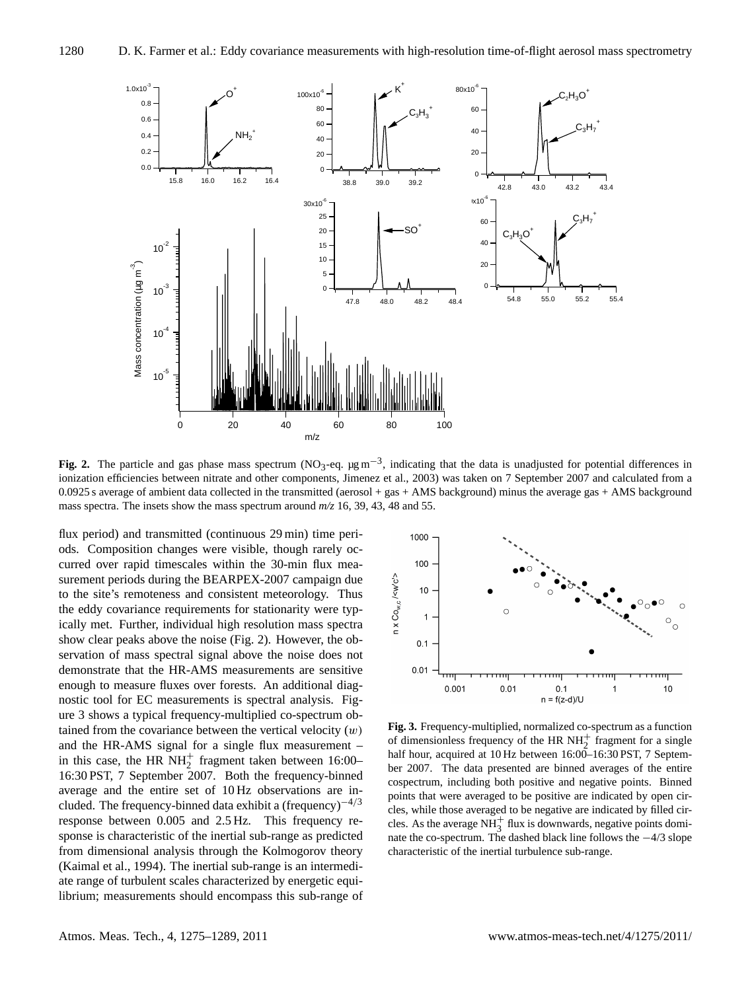

**Fig. 2.** The particle and gas phase mass spectrum (NO<sub>3</sub>-eq. μg m<sup>-3</sup>, indicating that the data is unadjusted for potential differences in ionization efficiencies between nitrate and other components, Jimenez et al., 2003) was taken on 7 September 2007 and calculated from a 0.0925 s average of ambient data collected in the transmitted (aerosol + gas + AMS background) minus the average gas + AMS background mass spectra. The insets show the mass spectrum around *m/z* 16, 39, 43, 48 and 55.

flux period) and transmitted (continuous 29 min) time periods. Composition changes were visible, though rarely occurred over rapid timescales within the 30-min flux measurement periods during the BEARPEX-2007 campaign due to the site's remoteness and consistent meteorology. Thus the eddy covariance requirements for stationarity were typically met. Further, individual high resolution mass spectra show clear peaks above the noise (Fig. 2). However, the observation of mass spectral signal above the noise does not demonstrate that the HR-AMS measurements are sensitive enough to measure fluxes over forests. An additional diagnostic tool for EC measurements is spectral analysis. Figure 3 shows a typical frequency-multiplied co-spectrum obtained from the covariance between the vertical velocity  $(w)$ and the HR-AMS signal for a single flux measurement – in this case, the HR  $NH<sub>2</sub><sup>+</sup>$  fragment taken between 16:00– 16:30 PST, 7 September 2007. Both the frequency-binned average and the entire set of 10 Hz observations are included. The frequency-binned data exhibit a (frequency)<sup> $-4/3$ </sup> response between 0.005 and 2.5 Hz. This frequency response is characteristic of the inertial sub-range as predicted from dimensional analysis through the Kolmogorov theory (Kaimal et al., 1994). The inertial sub-range is an intermediate range of turbulent scales characterized by energetic equilibrium; measurements should encompass this sub-range of



**Fig. 3.** Frequency-multiplied, normalized co-spectrum as a function of dimensionless frequency of the HR  $NH<sub>2</sub><sup>+</sup>$  fragment for a single half hour, acquired at 10 Hz between 16:00-16:30 PST, 7 September 2007. The data presented are binned averages of the entire cospectrum, including both positive and negative points. Binned points that were averaged to be positive are indicated by open circles, while those averaged to be negative are indicated by filled circles. As the average  $NH_3^+$  flux is downwards, negative points dominate the co-spectrum. The dashed black line follows the −4/3 slope characteristic of the inertial turbulence sub-range.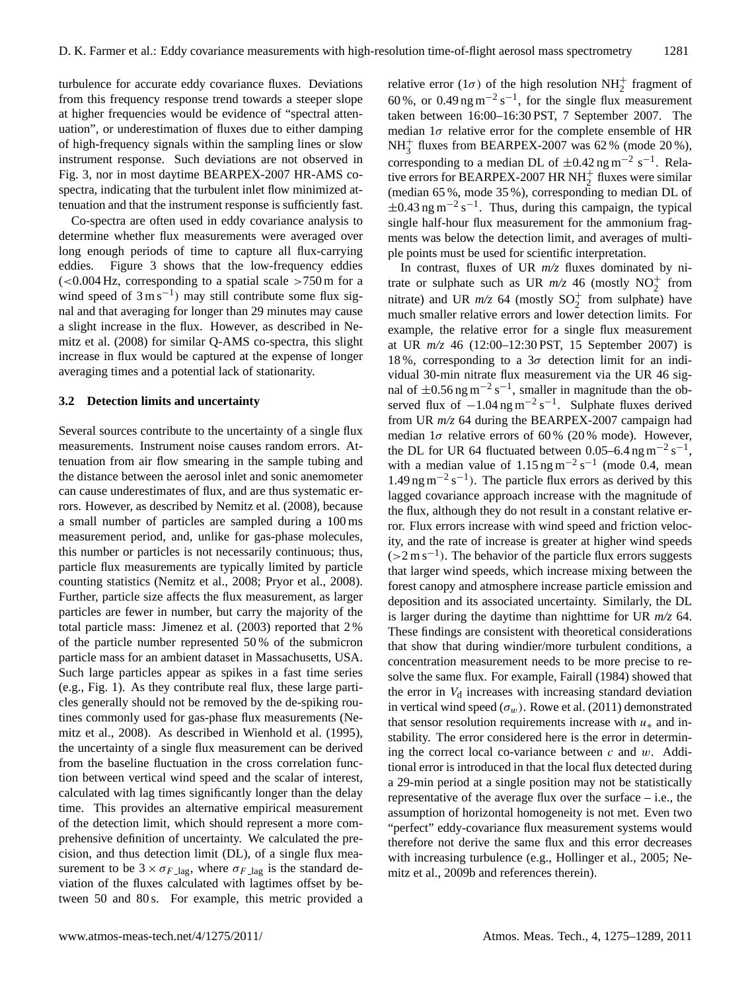turbulence for accurate eddy covariance fluxes. Deviations from this frequency response trend towards a steeper slope at higher frequencies would be evidence of "spectral attenuation", or underestimation of fluxes due to either damping of high-frequency signals within the sampling lines or slow instrument response. Such deviations are not observed in Fig. 3, nor in most daytime BEARPEX-2007 HR-AMS cospectra, indicating that the turbulent inlet flow minimized attenuation and that the instrument response is sufficiently fast.

Co-spectra are often used in eddy covariance analysis to determine whether flux measurements were averaged over long enough periods of time to capture all flux-carrying eddies. Figure 3 shows that the low-frequency eddies  $\epsilon$  (<0.004 Hz, corresponding to a spatial scale >750 m for a wind speed of  $3 \text{ m s}^{-1}$ ) may still contribute some flux signal and that averaging for longer than 29 minutes may cause a slight increase in the flux. However, as described in Nemitz et al. (2008) for similar Q-AMS co-spectra, this slight increase in flux would be captured at the expense of longer averaging times and a potential lack of stationarity.

#### **3.2 Detection limits and uncertainty**

Several sources contribute to the uncertainty of a single flux measurements. Instrument noise causes random errors. Attenuation from air flow smearing in the sample tubing and the distance between the aerosol inlet and sonic anemometer can cause underestimates of flux, and are thus systematic errors. However, as described by Nemitz et al. (2008), because a small number of particles are sampled during a 100 ms measurement period, and, unlike for gas-phase molecules, this number or particles is not necessarily continuous; thus, particle flux measurements are typically limited by particle counting statistics (Nemitz et al., 2008; Pryor et al., 2008). Further, particle size affects the flux measurement, as larger particles are fewer in number, but carry the majority of the total particle mass: Jimenez et al. (2003) reported that 2 % of the particle number represented 50 % of the submicron particle mass for an ambient dataset in Massachusetts, USA. Such large particles appear as spikes in a fast time series (e.g., Fig. 1). As they contribute real flux, these large particles generally should not be removed by the de-spiking routines commonly used for gas-phase flux measurements (Nemitz et al., 2008). As described in Wienhold et al. (1995), the uncertainty of a single flux measurement can be derived from the baseline fluctuation in the cross correlation function between vertical wind speed and the scalar of interest, calculated with lag times significantly longer than the delay time. This provides an alternative empirical measurement of the detection limit, which should represent a more comprehensive definition of uncertainty. We calculated the precision, and thus detection limit (DL), of a single flux measurement to be  $3 \times \sigma_{F \text{lag}}$ , where  $\sigma_{F \text{lag}}$  is the standard deviation of the fluxes calculated with lagtimes offset by between 50 and 80 s. For example, this metric provided a

relative error (1 $\sigma$ ) of the high resolution NH<sub>2</sub><sup>+</sup> fragment of 60 %, or 0.49 ng m<sup>-2</sup> s<sup>-1</sup>, for the single flux measurement taken between 16:00–16:30 PST, 7 September 2007. The median  $1\sigma$  relative error for the complete ensemble of HR  $NH_3^+$  fluxes from BEARPEX-2007 was 62 % (mode 20 %), corresponding to a median DL of  $\pm 0.42$  ng m<sup>-2</sup> s<sup>-1</sup>. Relative errors for BEARPEX-2007 HR NH<sub>2</sub><sup>+</sup> fluxes were similar (median 65 %, mode 35 %), corresponding to median DL of  $\pm$ 0.43 ng m<sup>-2</sup> s<sup>-1</sup>. Thus, during this campaign, the typical single half-hour flux measurement for the ammonium fragments was below the detection limit, and averages of multiple points must be used for scientific interpretation.

In contrast, fluxes of UR *m/z* fluxes dominated by nitrate or sulphate such as UR  $m/z$  46 (mostly NO<sub>2</sub><sup>+</sup> from nitrate) and UR  $m/z$  64 (mostly  $SO_2^+$  from sulphate) have much smaller relative errors and lower detection limits. For example, the relative error for a single flux measurement at UR *m/z* 46 (12:00–12:30 PST, 15 September 2007) is 18%, corresponding to a  $3\sigma$  detection limit for an individual 30-min nitrate flux measurement via the UR 46 signal of  $\pm 0.56$  ng m<sup>-2</sup> s<sup>-1</sup>, smaller in magnitude than the observed flux of  $-1.04$  ng m<sup>-2</sup> s<sup>-1</sup>. Sulphate fluxes derived from UR *m/z* 64 during the BEARPEX-2007 campaign had median  $1\sigma$  relative errors of 60% (20% mode). However, the DL for UR 64 fluctuated between 0.05–6.4 ng m<sup>-2</sup> s<sup>-1</sup>, with a median value of  $1.15$  ng m<sup>-2</sup> s<sup>-1</sup> (mode 0.4, mean  $1.49$  ng m<sup>-2</sup> s<sup>-1</sup>). The particle flux errors as derived by this lagged covariance approach increase with the magnitude of the flux, although they do not result in a constant relative error. Flux errors increase with wind speed and friction velocity, and the rate of increase is greater at higher wind speeds  $(>2 \text{ m s}^{-1})$ . The behavior of the particle flux errors suggests that larger wind speeds, which increase mixing between the forest canopy and atmosphere increase particle emission and deposition and its associated uncertainty. Similarly, the DL is larger during the daytime than nighttime for UR *m/z* 64. These findings are consistent with theoretical considerations that show that during windier/more turbulent conditions, a concentration measurement needs to be more precise to resolve the same flux. For example, Fairall (1984) showed that the error in  $V<sub>d</sub>$  increases with increasing standard deviation in vertical wind speed  $(\sigma_w)$ . Rowe et al. (2011) demonstrated that sensor resolution requirements increase with  $u_*$  and instability. The error considered here is the error in determining the correct local co-variance between  $c$  and  $w$ . Additional error is introduced in that the local flux detected during a 29-min period at a single position may not be statistically representative of the average flux over the surface – i.e., the assumption of horizontal homogeneity is not met. Even two "perfect" eddy-covariance flux measurement systems would therefore not derive the same flux and this error decreases with increasing turbulence (e.g., Hollinger et al., 2005; Nemitz et al., 2009b and references therein).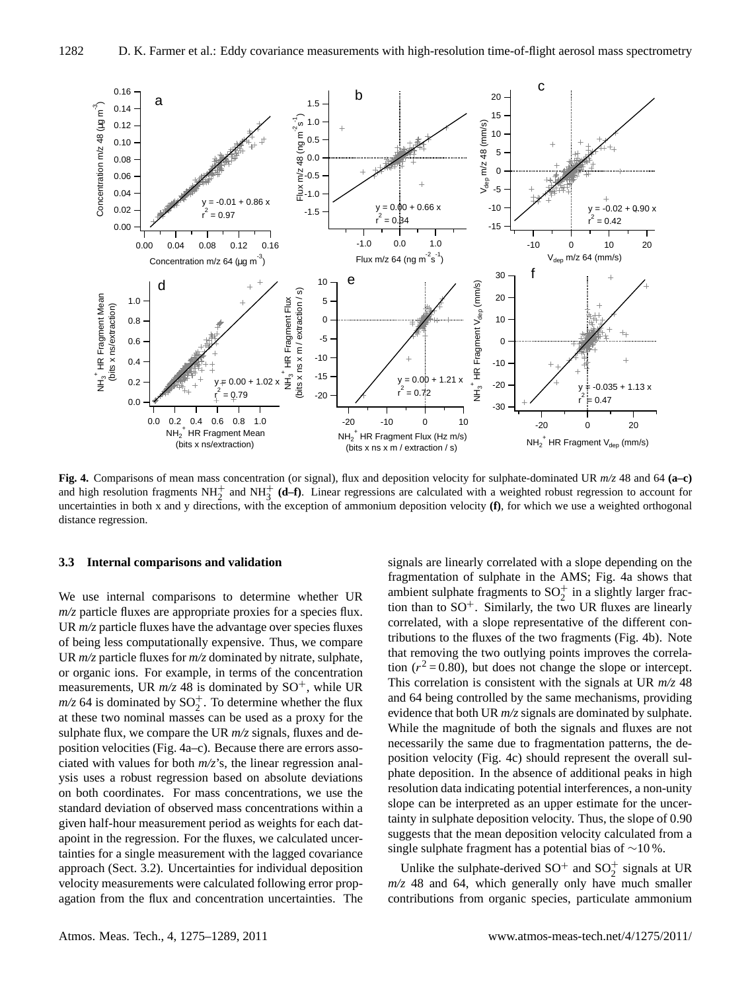

**Fig. 4.** Comparisons of mean mass concentration (or signal), flux and deposition velocity for sulphate-dominated UR *m/z* 48 and 64 **(a–c)** and high resolution fragments  $NH_2^+$  and  $NH_3^+$  (d–f). Linear regressions are calculated with a weighted robust regression to account for uncertainties in both x and y directions, with the exception of ammonium deposition velocity **(f)**, for which we use a weighted orthogonal distance regression.

#### **3.3 Internal comparisons and validation**

We use internal comparisons to determine whether UR *m/z* particle fluxes are appropriate proxies for a species flux. UR  $m/z$  particle fluxes have the advantage over species fluxes of being less computationally expensive. Thus, we compare UR *m/z* particle fluxes for *m/z* dominated by nitrate, sulphate, or organic ions. For example, in terms of the concentration measurements, UR  $m/z$  48 is dominated by SO<sup>+</sup>, while UR  $m/z$  64 is dominated by  $SO_2^+$ . To determine whether the flux at these two nominal masses can be used as a proxy for the sulphate flux, we compare the UR *m/z* signals, fluxes and deposition velocities (Fig. 4a–c). Because there are errors associated with values for both *m/z*'s, the linear regression analysis uses a robust regression based on absolute deviations on both coordinates. For mass concentrations, we use the standard deviation of observed mass concentrations within a given half-hour measurement period as weights for each datapoint in the regression. For the fluxes, we calculated uncertainties for a single measurement with the lagged covariance approach (Sect. 3.2). Uncertainties for individual deposition velocity measurements were calculated following error propagation from the flux and concentration uncertainties. The signals are linearly correlated with a slope depending on the fragmentation of sulphate in the AMS; Fig. 4a shows that ambient sulphate fragments to  $SO_2^+$  in a slightly larger fraction than to  $SO^+$ . Similarly, the two UR fluxes are linearly correlated, with a slope representative of the different contributions to the fluxes of the two fragments (Fig. 4b). Note that removing the two outlying points improves the correlation ( $r^2$  = 0.80), but does not change the slope or intercept. This correlation is consistent with the signals at UR *m/z* 48 and 64 being controlled by the same mechanisms, providing evidence that both UR *m/z* signals are dominated by sulphate. While the magnitude of both the signals and fluxes are not necessarily the same due to fragmentation patterns, the deposition velocity (Fig. 4c) should represent the overall sulphate deposition. In the absence of additional peaks in high resolution data indicating potential interferences, a non-unity slope can be interpreted as an upper estimate for the uncertainty in sulphate deposition velocity. Thus, the slope of 0.90 suggests that the mean deposition velocity calculated from a single sulphate fragment has a potential bias of ∼10 %.

Unlike the sulphate-derived  $SO^+$  and  $SO_2^+$  signals at UR *m/z* 48 and 64, which generally only have much smaller contributions from organic species, particulate ammonium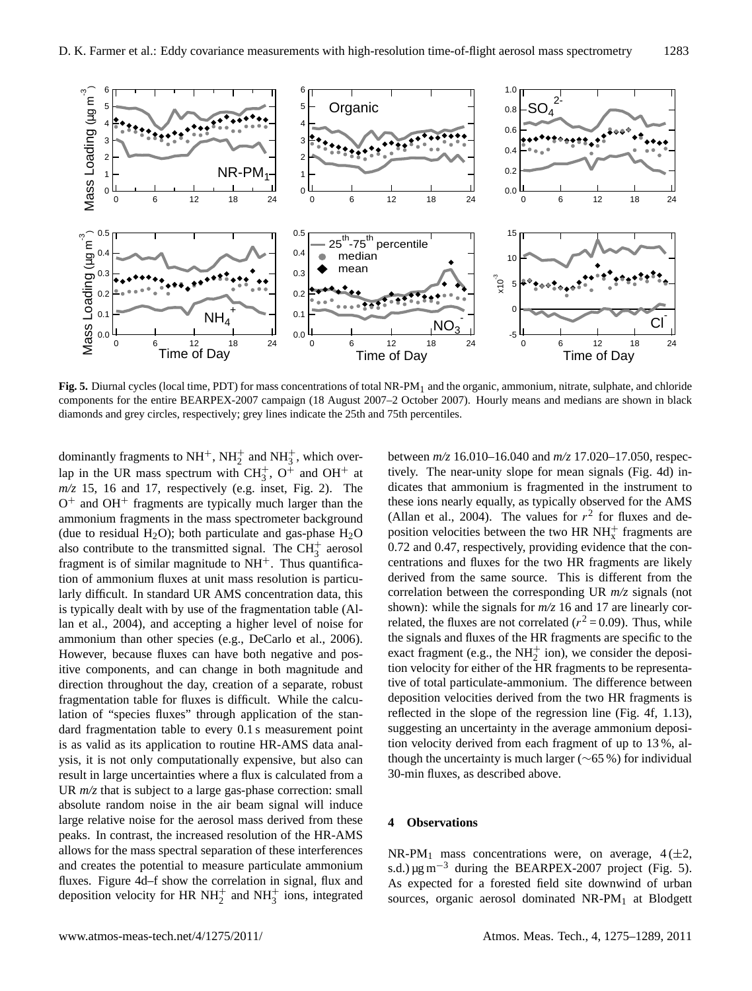

**Fig. 5.** Diurnal cycles (local time, PDT) for mass concentrations of total NR-PM<sub>1</sub> and the organic, ammonium, nitrate, sulphate, and chloride components for the entire BEARPEX-2007 campaign (18 August 2007–2 October 2007). Hourly means and medians are shown in black diamonds and grey circles, respectively; grey lines indicate the 25th and 75th percentiles.

dominantly fragments to  $NH<sup>+</sup>$ ,  $NH<sub>2</sub><sup>+</sup>$  and  $NH<sub>3</sub><sup>+</sup>$ , which overlap in the UR mass spectrum with  $CH_3^+$ ,  $O^+$  and  $OH^+$  at  $m/z$  15, 16 and 17, respectively (e.g. inset, Fig. 2). The  $O<sup>+</sup>$  and  $OH<sup>+</sup>$  fragments are typically much larger than the ammonium fragments in the mass spectrometer background (due to residual H<sub>2</sub>O); both particulate and gas-phase H<sub>2</sub>O also contribute to the transmitted signal. The  $CH<sub>3</sub><sup>+</sup>$  aerosol fragment is of similar magnitude to  $NH<sup>+</sup>$ . Thus quantification of ammonium fluxes at unit mass resolution is particularly difficult. In standard UR AMS concentration data, this is typically dealt with by use of the fragmentation table (Allan et al., 2004), and accepting a higher level of noise for ammonium than other species (e.g., DeCarlo et al., 2006). However, because fluxes can have both negative and positive components, and can change in both magnitude and direction throughout the day, creation of a separate, robust fragmentation table for fluxes is difficult. While the calculation of "species fluxes" through application of the standard fragmentation table to every 0.1 s measurement point is as valid as its application to routine HR-AMS data analysis, it is not only computationally expensive, but also can result in large uncertainties where a flux is calculated from a UR  $m/z$  that is subject to a large gas-phase correction: small absolute random noise in the air beam signal will induce large relative noise for the aerosol mass derived from these peaks. In contrast, the increased resolution of the HR-AMS allows for the mass spectral separation of these interferences and creates the potential to measure particulate ammonium fluxes. Figure 4d–f show the correlation in signal, flux and deposition velocity for HR NH<sup>+</sup><sub>2</sub> and NH<sup>+</sup><sub>3</sub> ions, integrated

between *m/z* 16.010–16.040 and *m/z* 17.020–17.050, respectively. The near-unity slope for mean signals (Fig. 4d) indicates that ammonium is fragmented in the instrument to these ions nearly equally, as typically observed for the AMS (Allan et al., 2004). The values for  $r^2$  for fluxes and deposition velocities between the two HR  $NH_{x}^{+}$  fragments are 0.72 and 0.47, respectively, providing evidence that the concentrations and fluxes for the two HR fragments are likely derived from the same source. This is different from the correlation between the corresponding UR *m/z* signals (not shown): while the signals for  $m/z$  16 and 17 are linearly correlated, the fluxes are not correlated ( $r^2 = 0.09$ ). Thus, while the signals and fluxes of the HR fragments are specific to the exact fragment (e.g., the  $NH_2^+$  ion), we consider the deposition velocity for either of the HR fragments to be representative of total particulate-ammonium. The difference between deposition velocities derived from the two HR fragments is reflected in the slope of the regression line (Fig. 4f, 1.13), suggesting an uncertainty in the average ammonium deposition velocity derived from each fragment of up to 13 %, although the uncertainty is much larger ( $\sim$ 65 %) for individual 30-min fluxes, as described above.

#### **4 Observations**

NR-PM<sub>1</sub> mass concentrations were, on average,  $4(\pm 2,$ s.d.)  $\mu$ g m<sup>-3</sup> during the BEARPEX-2007 project (Fig. 5). As expected for a forested field site downwind of urban sources, organic aerosol dominated NR-PM<sup>1</sup> at Blodgett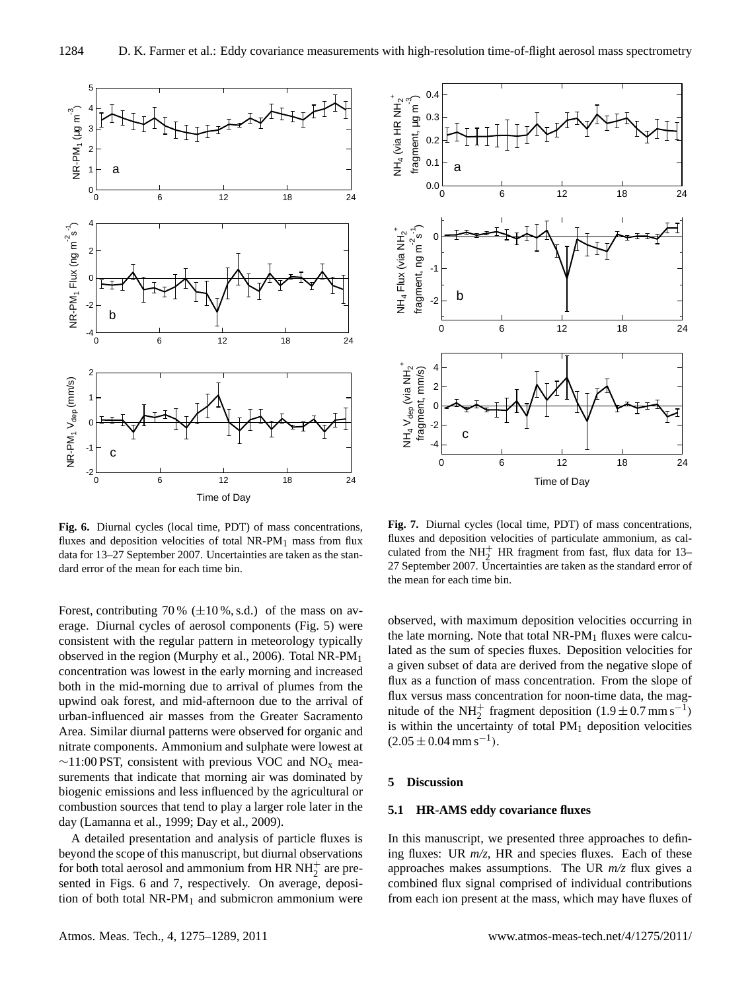

**Fig. 6.** Diurnal cycles (local time, PDT) of mass concentrations, fluxes and deposition velocities of total NR-PM<sub>1</sub> mass from flux data for 13–27 September 2007. Uncertainties are taken as the standard error of the mean for each time bin.

Forest, contributing 70 %  $(\pm 10\%, \text{s.d.})$  of the mass on average. Diurnal cycles of aerosol components (Fig. 5) were consistent with the regular pattern in meteorology typically observed in the region (Murphy et al., 2006). Total NR-PM<sup>1</sup> concentration was lowest in the early morning and increased both in the mid-morning due to arrival of plumes from the upwind oak forest, and mid-afternoon due to the arrival of urban-influenced air masses from the Greater Sacramento Area. Similar diurnal patterns were observed for organic and nitrate components. Ammonium and sulphate were lowest at  $\sim$ 11:00 PST, consistent with previous VOC and NO<sub>x</sub> measurements that indicate that morning air was dominated by biogenic emissions and less influenced by the agricultural or combustion sources that tend to play a larger role later in the day (Lamanna et al., 1999; Day et al., 2009).

A detailed presentation and analysis of particle fluxes is beyond the scope of this manuscript, but diurnal observations for both total aerosol and ammonium from HR  $NH<sub>2</sub><sup>+</sup>$  are presented in Figs. 6 and 7, respectively. On average, deposition of both total  $NR-PM_1$  and submicron ammonium were



**Fig. 7.** Diurnal cycles (local time, PDT) of mass concentrations, fluxes and deposition velocities of particulate ammonium, as calculated from the NH<sup>+</sup><sub>2</sub> HR fragment from fast, flux data for 13– 27 September 2007. Uncertainties are taken as the standard error of the mean for each time bin.

observed, with maximum deposition velocities occurring in the late morning. Note that total  $NR-PM_1$  fluxes were calculated as the sum of species fluxes. Deposition velocities for a given subset of data are derived from the negative slope of flux as a function of mass concentration. From the slope of flux versus mass concentration for noon-time data, the magnitude of the NH<sup>+</sup><sub>2</sub> fragment deposition  $(1.9 \pm 0.7 \text{ mm s}^{-1})$ is within the uncertainty of total  $PM<sub>1</sub>$  deposition velocities  $(2.05 \pm 0.04 \text{ mm s}^{-1}).$ 

### **5 Discussion**

# **5.1 HR-AMS eddy covariance fluxes**

In this manuscript, we presented three approaches to defining fluxes: UR *m/z*, HR and species fluxes. Each of these approaches makes assumptions. The UR *m/z* flux gives a combined flux signal comprised of individual contributions from each ion present at the mass, which may have fluxes of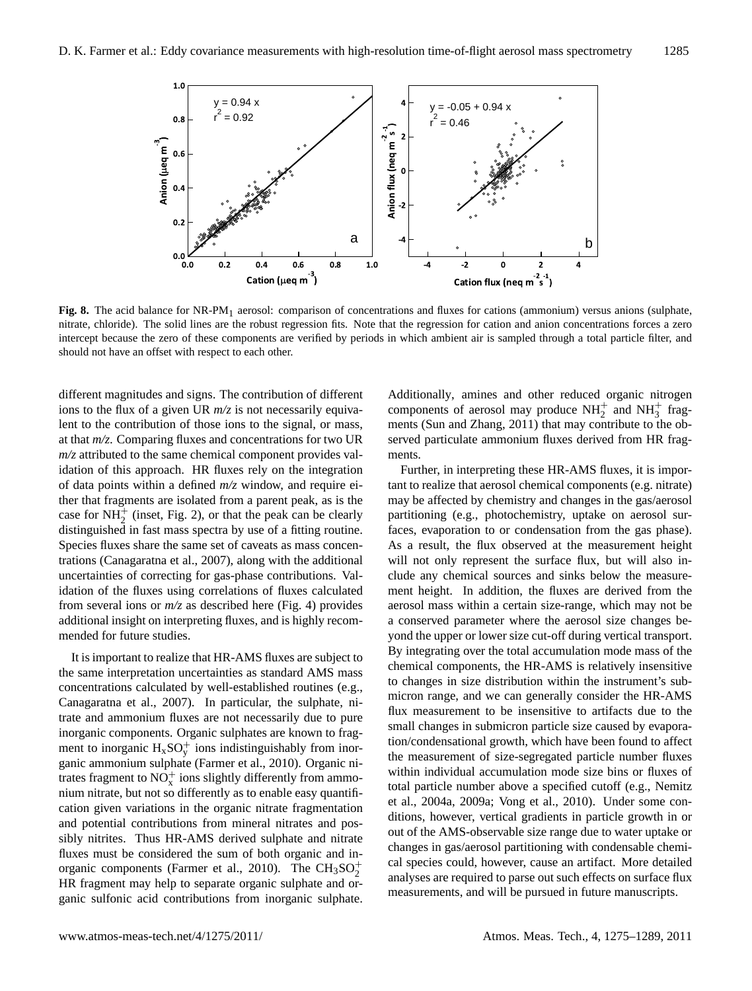

Fig. 8. The acid balance for NR-PM<sub>1</sub> aerosol: comparison of concentrations and fluxes for cations (ammonium) versus anions (sulphate, nitrate, chloride). The solid lines are the robust regression fits. Note that the regression for cation and anion concentrations forces a zero intercept because the zero of these components are verified by periods in which ambient air is sampled through a total particle filter, and should not have an offset with respect to each other.

different magnitudes and signs. The contribution of different ions to the flux of a given UR *m/z* is not necessarily equivalent to the contribution of those ions to the signal, or mass, at that *m/z*. Comparing fluxes and concentrations for two UR *m/z* attributed to the same chemical component provides validation of this approach. HR fluxes rely on the integration of data points within a defined *m/z* window, and require either that fragments are isolated from a parent peak, as is the case for  $NH_2^+$  (inset, Fig. 2), or that the peak can be clearly distinguished in fast mass spectra by use of a fitting routine. Species fluxes share the same set of caveats as mass concentrations (Canagaratna et al., 2007), along with the additional uncertainties of correcting for gas-phase contributions. Validation of the fluxes using correlations of fluxes calculated from several ions or *m/z* as described here (Fig. 4) provides additional insight on interpreting fluxes, and is highly recommended for future studies.

It is important to realize that HR-AMS fluxes are subject to the same interpretation uncertainties as standard AMS mass concentrations calculated by well-established routines (e.g., Canagaratna et al., 2007). In particular, the sulphate, nitrate and ammonium fluxes are not necessarily due to pure inorganic components. Organic sulphates are known to fragment to inorganic  $H_x SO_y^+$  ions indistinguishably from inorganic ammonium sulphate (Farmer et al., 2010). Organic nitrates fragment to  $NO_x^+$  ions slightly differently from ammonium nitrate, but not so differently as to enable easy quantification given variations in the organic nitrate fragmentation and potential contributions from mineral nitrates and possibly nitrites. Thus HR-AMS derived sulphate and nitrate fluxes must be considered the sum of both organic and inorganic components (Farmer et al., 2010). The  $\text{CH}_3\text{SO}_2^+$ HR fragment may help to separate organic sulphate and organic sulfonic acid contributions from inorganic sulphate.

Additionally, amines and other reduced organic nitrogen components of aerosol may produce  $NH<sub>2</sub><sup>+</sup>$  and  $NH<sub>3</sub><sup>+</sup>$  fragments (Sun and Zhang, 2011) that may contribute to the observed particulate ammonium fluxes derived from HR fragments.

Further, in interpreting these HR-AMS fluxes, it is important to realize that aerosol chemical components (e.g. nitrate) may be affected by chemistry and changes in the gas/aerosol partitioning (e.g., photochemistry, uptake on aerosol surfaces, evaporation to or condensation from the gas phase). As a result, the flux observed at the measurement height will not only represent the surface flux, but will also include any chemical sources and sinks below the measurement height. In addition, the fluxes are derived from the aerosol mass within a certain size-range, which may not be a conserved parameter where the aerosol size changes beyond the upper or lower size cut-off during vertical transport. By integrating over the total accumulation mode mass of the chemical components, the HR-AMS is relatively insensitive to changes in size distribution within the instrument's submicron range, and we can generally consider the HR-AMS flux measurement to be insensitive to artifacts due to the small changes in submicron particle size caused by evaporation/condensational growth, which have been found to affect the measurement of size-segregated particle number fluxes within individual accumulation mode size bins or fluxes of total particle number above a specified cutoff (e.g., Nemitz et al., 2004a, 2009a; Vong et al., 2010). Under some conditions, however, vertical gradients in particle growth in or out of the AMS-observable size range due to water uptake or changes in gas/aerosol partitioning with condensable chemical species could, however, cause an artifact. More detailed analyses are required to parse out such effects on surface flux measurements, and will be pursued in future manuscripts.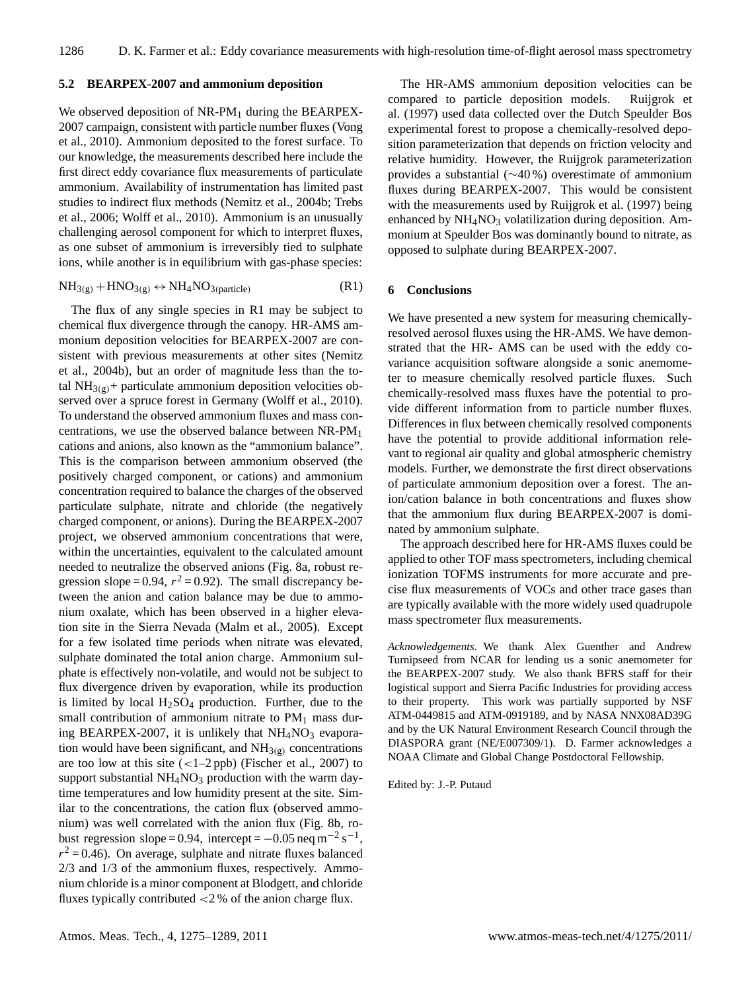#### **5.2 BEARPEX-2007 and ammonium deposition**

We observed deposition of NR-PM<sub>1</sub> during the BEARPEX-2007 campaign, consistent with particle number fluxes (Vong et al., 2010). Ammonium deposited to the forest surface. To our knowledge, the measurements described here include the first direct eddy covariance flux measurements of particulate ammonium. Availability of instrumentation has limited past studies to indirect flux methods (Nemitz et al., 2004b; Trebs et al., 2006; Wolff et al., 2010). Ammonium is an unusually challenging aerosol component for which to interpret fluxes, as one subset of ammonium is irreversibly tied to sulphate ions, while another is in equilibrium with gas-phase species:

$$
NH_{3(g)} + HNO_{3(g)} \leftrightarrow NH_4NO_{3(particle)}
$$
 (R1)

The flux of any single species in R1 may be subject to chemical flux divergence through the canopy. HR-AMS ammonium deposition velocities for BEARPEX-2007 are consistent with previous measurements at other sites (Nemitz et al., 2004b), but an order of magnitude less than the total NH<sub>3(g)</sub>+ particulate ammonium deposition velocities observed over a spruce forest in Germany (Wolff et al., 2010). To understand the observed ammonium fluxes and mass concentrations, we use the observed balance between NR-PM<sup>1</sup> cations and anions, also known as the "ammonium balance". This is the comparison between ammonium observed (the positively charged component, or cations) and ammonium concentration required to balance the charges of the observed particulate sulphate, nitrate and chloride (the negatively charged component, or anions). During the BEARPEX-2007 project, we observed ammonium concentrations that were, within the uncertainties, equivalent to the calculated amount needed to neutralize the observed anions (Fig. 8a, robust regression slope = 0.94,  $r^2 = 0.92$ ). The small discrepancy between the anion and cation balance may be due to ammonium oxalate, which has been observed in a higher elevation site in the Sierra Nevada (Malm et al., 2005). Except for a few isolated time periods when nitrate was elevated, sulphate dominated the total anion charge. Ammonium sulphate is effectively non-volatile, and would not be subject to flux divergence driven by evaporation, while its production is limited by local  $H_2SO_4$  production. Further, due to the small contribution of ammonium nitrate to  $PM<sub>1</sub>$  mass during BEARPEX-2007, it is unlikely that  $NH<sub>4</sub>NO<sub>3</sub>$  evaporation would have been significant, and  $NH_{3(g)}$  concentrations are too low at this site  $(<1-2$  ppb) (Fischer et al., 2007) to support substantial  $NH<sub>4</sub>NO<sub>3</sub>$  production with the warm daytime temperatures and low humidity present at the site. Similar to the concentrations, the cation flux (observed ammonium) was well correlated with the anion flux (Fig. 8b, robust regression slope = 0.94, intercept =  $-0.05$  neq m<sup>-2</sup> s<sup>-1</sup>,  $r^2$  = 0.46). On average, sulphate and nitrate fluxes balanced 2/3 and 1/3 of the ammonium fluxes, respectively. Ammonium chloride is a minor component at Blodgett, and chloride fluxes typically contributed <2 % of the anion charge flux.

The HR-AMS ammonium deposition velocities can be compared to particle deposition models. Ruijgrok et al. (1997) used data collected over the Dutch Speulder Bos experimental forest to propose a chemically-resolved deposition parameterization that depends on friction velocity and relative humidity. However, the Ruijgrok parameterization provides a substantial (∼40 %) overestimate of ammonium fluxes during BEARPEX-2007. This would be consistent with the measurements used by Ruijgrok et al. (1997) being enhanced by NH<sub>4</sub>NO<sub>3</sub> volatilization during deposition. Ammonium at Speulder Bos was dominantly bound to nitrate, as opposed to sulphate during BEARPEX-2007.

#### **6 Conclusions**

We have presented a new system for measuring chemicallyresolved aerosol fluxes using the HR-AMS. We have demonstrated that the HR- AMS can be used with the eddy covariance acquisition software alongside a sonic anemometer to measure chemically resolved particle fluxes. Such chemically-resolved mass fluxes have the potential to provide different information from to particle number fluxes. Differences in flux between chemically resolved components have the potential to provide additional information relevant to regional air quality and global atmospheric chemistry models. Further, we demonstrate the first direct observations of particulate ammonium deposition over a forest. The anion/cation balance in both concentrations and fluxes show that the ammonium flux during BEARPEX-2007 is dominated by ammonium sulphate.

The approach described here for HR-AMS fluxes could be applied to other TOF mass spectrometers, including chemical ionization TOFMS instruments for more accurate and precise flux measurements of VOCs and other trace gases than are typically available with the more widely used quadrupole mass spectrometer flux measurements.

*Acknowledgements.* We thank Alex Guenther and Andrew Turnipseed from NCAR for lending us a sonic anemometer for the BEARPEX-2007 study. We also thank BFRS staff for their logistical support and Sierra Pacific Industries for providing access to their property. This work was partially supported by NSF ATM-0449815 and ATM-0919189, and by NASA NNX08AD39G and by the UK Natural Environment Research Council through the DIASPORA grant (NE/E007309/1). D. Farmer acknowledges a NOAA Climate and Global Change Postdoctoral Fellowship.

Edited by: J.-P. Putaud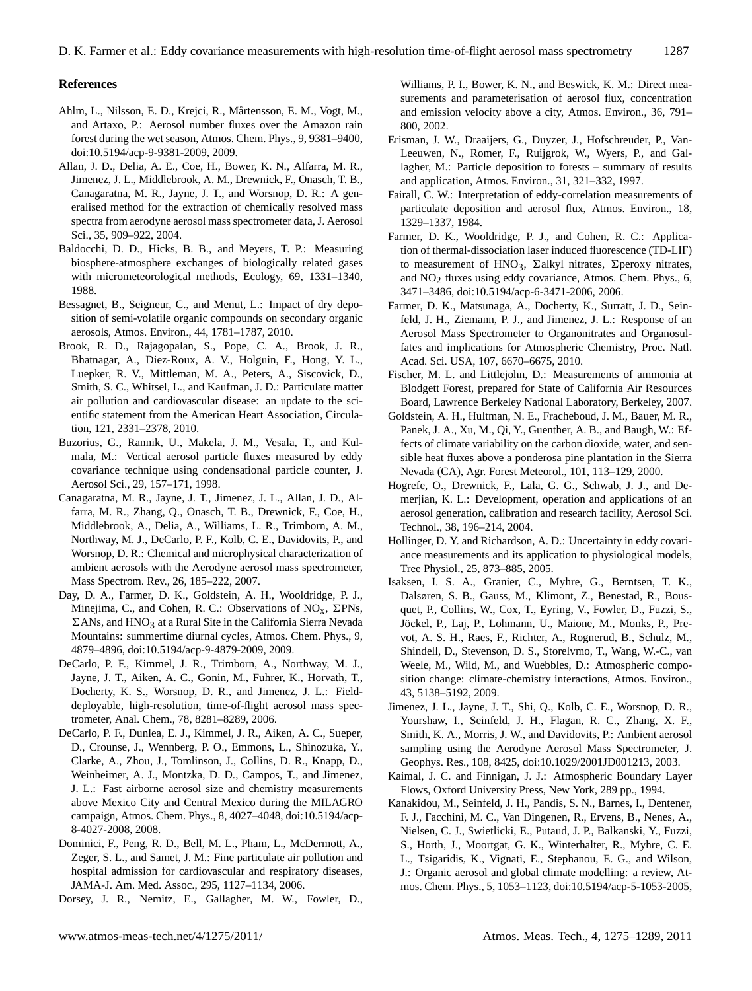#### **References**

- Ahlm, L., Nilsson, E. D., Krejci, R., Mårtensson, E. M., Vogt, M., and Artaxo, P.: Aerosol number fluxes over the Amazon rain forest during the wet season, Atmos. Chem. Phys., 9, 9381–9400, [doi:10.5194/acp-9-9381-2009,](http://dx.doi.org/10.5194/acp-9-9381-2009) 2009.
- Allan, J. D., Delia, A. E., Coe, H., Bower, K. N., Alfarra, M. R., Jimenez, J. L., Middlebrook, A. M., Drewnick, F., Onasch, T. B., Canagaratna, M. R., Jayne, J. T., and Worsnop, D. R.: A generalised method for the extraction of chemically resolved mass spectra from aerodyne aerosol mass spectrometer data, J. Aerosol Sci., 35, 909–922, 2004.
- Baldocchi, D. D., Hicks, B. B., and Meyers, T. P.: Measuring biosphere-atmosphere exchanges of biologically related gases with micrometeorological methods, Ecology, 69, 1331–1340, 1988.
- Bessagnet, B., Seigneur, C., and Menut, L.: Impact of dry deposition of semi-volatile organic compounds on secondary organic aerosols, Atmos. Environ., 44, 1781–1787, 2010.
- Brook, R. D., Rajagopalan, S., Pope, C. A., Brook, J. R., Bhatnagar, A., Diez-Roux, A. V., Holguin, F., Hong, Y. L., Luepker, R. V., Mittleman, M. A., Peters, A., Siscovick, D., Smith, S. C., Whitsel, L., and Kaufman, J. D.: Particulate matter air pollution and cardiovascular disease: an update to the scientific statement from the American Heart Association, Circulation, 121, 2331–2378, 2010.
- Buzorius, G., Rannik, U., Makela, J. M., Vesala, T., and Kulmala, M.: Vertical aerosol particle fluxes measured by eddy covariance technique using condensational particle counter, J. Aerosol Sci., 29, 157–171, 1998.
- Canagaratna, M. R., Jayne, J. T., Jimenez, J. L., Allan, J. D., Alfarra, M. R., Zhang, Q., Onasch, T. B., Drewnick, F., Coe, H., Middlebrook, A., Delia, A., Williams, L. R., Trimborn, A. M., Northway, M. J., DeCarlo, P. F., Kolb, C. E., Davidovits, P., and Worsnop, D. R.: Chemical and microphysical characterization of ambient aerosols with the Aerodyne aerosol mass spectrometer, Mass Spectrom. Rev., 26, 185–222, 2007.
- Day, D. A., Farmer, D. K., Goldstein, A. H., Wooldridge, P. J., Minejima, C., and Cohen, R. C.: Observations of  $NO<sub>x</sub>$ ,  $\Sigma PNs$ ,  $\Sigma$ ANs, and HNO<sub>3</sub> at a Rural Site in the California Sierra Nevada Mountains: summertime diurnal cycles, Atmos. Chem. Phys., 9, 4879–4896, [doi:10.5194/acp-9-4879-2009,](http://dx.doi.org/10.5194/acp-9-4879-2009) 2009.
- DeCarlo, P. F., Kimmel, J. R., Trimborn, A., Northway, M. J., Jayne, J. T., Aiken, A. C., Gonin, M., Fuhrer, K., Horvath, T., Docherty, K. S., Worsnop, D. R., and Jimenez, J. L.: Fielddeployable, high-resolution, time-of-flight aerosol mass spectrometer, Anal. Chem., 78, 8281–8289, 2006.
- DeCarlo, P. F., Dunlea, E. J., Kimmel, J. R., Aiken, A. C., Sueper, D., Crounse, J., Wennberg, P. O., Emmons, L., Shinozuka, Y., Clarke, A., Zhou, J., Tomlinson, J., Collins, D. R., Knapp, D., Weinheimer, A. J., Montzka, D. D., Campos, T., and Jimenez, J. L.: Fast airborne aerosol size and chemistry measurements above Mexico City and Central Mexico during the MILAGRO campaign, Atmos. Chem. Phys., 8, 4027–4048, [doi:10.5194/acp-](http://dx.doi.org/10.5194/acp-8-4027-2008)[8-4027-2008,](http://dx.doi.org/10.5194/acp-8-4027-2008) 2008.
- Dominici, F., Peng, R. D., Bell, M. L., Pham, L., McDermott, A., Zeger, S. L., and Samet, J. M.: Fine particulate air pollution and hospital admission for cardiovascular and respiratory diseases, JAMA-J. Am. Med. Assoc., 295, 1127–1134, 2006.

Dorsey, J. R., Nemitz, E., Gallagher, M. W., Fowler, D.,

Williams, P. I., Bower, K. N., and Beswick, K. M.: Direct measurements and parameterisation of aerosol flux, concentration and emission velocity above a city, Atmos. Environ., 36, 791– 800, 2002.

- Erisman, J. W., Draaijers, G., Duyzer, J., Hofschreuder, P., Van-Leeuwen, N., Romer, F., Ruijgrok, W., Wyers, P., and Gallagher, M.: Particle deposition to forests – summary of results and application, Atmos. Environ., 31, 321–332, 1997.
- Fairall, C. W.: Interpretation of eddy-correlation measurements of particulate deposition and aerosol flux, Atmos. Environ., 18, 1329–1337, 1984.
- Farmer, D. K., Wooldridge, P. J., and Cohen, R. C.: Application of thermal-dissociation laser induced fluorescence (TD-LIF) to measurement of HNO<sub>3</sub>,  $\Sigma$ alkyl nitrates,  $\Sigma$ peroxy nitrates, and NO<sub>2</sub> fluxes using eddy covariance, Atmos. Chem. Phys., 6, 3471–3486, [doi:10.5194/acp-6-3471-2006,](http://dx.doi.org/10.5194/acp-6-3471-2006) 2006.
- Farmer, D. K., Matsunaga, A., Docherty, K., Surratt, J. D., Seinfeld, J. H., Ziemann, P. J., and Jimenez, J. L.: Response of an Aerosol Mass Spectrometer to Organonitrates and Organosulfates and implications for Atmospheric Chemistry, Proc. Natl. Acad. Sci. USA, 107, 6670–6675, 2010.
- Fischer, M. L. and Littlejohn, D.: Measurements of ammonia at Blodgett Forest, prepared for State of California Air Resources Board, Lawrence Berkeley National Laboratory, Berkeley, 2007.
- Goldstein, A. H., Hultman, N. E., Fracheboud, J. M., Bauer, M. R., Panek, J. A., Xu, M., Qi, Y., Guenther, A. B., and Baugh, W.: Effects of climate variability on the carbon dioxide, water, and sensible heat fluxes above a ponderosa pine plantation in the Sierra Nevada (CA), Agr. Forest Meteorol., 101, 113–129, 2000.
- Hogrefe, O., Drewnick, F., Lala, G. G., Schwab, J. J., and Demerjian, K. L.: Development, operation and applications of an aerosol generation, calibration and research facility, Aerosol Sci. Technol., 38, 196–214, 2004.
- Hollinger, D. Y. and Richardson, A. D.: Uncertainty in eddy covariance measurements and its application to physiological models, Tree Physiol., 25, 873–885, 2005.
- Isaksen, I. S. A., Granier, C., Myhre, G., Berntsen, T. K., Dalsøren, S. B., Gauss, M., Klimont, Z., Benestad, R., Bousquet, P., Collins, W., Cox, T., Eyring, V., Fowler, D., Fuzzi, S., Jöckel, P., Laj, P., Lohmann, U., Maione, M., Monks, P., Prevot, A. S. H., Raes, F., Richter, A., Rognerud, B., Schulz, M., Shindell, D., Stevenson, D. S., Storelvmo, T., Wang, W.-C., van Weele, M., Wild, M., and Wuebbles, D.: Atmospheric composition change: climate-chemistry interactions, Atmos. Environ., 43, 5138–5192, 2009.
- Jimenez, J. L., Jayne, J. T., Shi, Q., Kolb, C. E., Worsnop, D. R., Yourshaw, I., Seinfeld, J. H., Flagan, R. C., Zhang, X. F., Smith, K. A., Morris, J. W., and Davidovits, P.: Ambient aerosol sampling using the Aerodyne Aerosol Mass Spectrometer, J. Geophys. Res., 108, 8425, [doi:10.1029/2001JD001213,](http://dx.doi.org/10.1029/2001JD001213) 2003.
- Kaimal, J. C. and Finnigan, J. J.: Atmospheric Boundary Layer Flows, Oxford University Press, New York, 289 pp., 1994.
- Kanakidou, M., Seinfeld, J. H., Pandis, S. N., Barnes, I., Dentener, F. J., Facchini, M. C., Van Dingenen, R., Ervens, B., Nenes, A., Nielsen, C. J., Swietlicki, E., Putaud, J. P., Balkanski, Y., Fuzzi, S., Horth, J., Moortgat, G. K., Winterhalter, R., Myhre, C. E. L., Tsigaridis, K., Vignati, E., Stephanou, E. G., and Wilson, J.: Organic aerosol and global climate modelling: a review, Atmos. Chem. Phys., 5, 1053–1123, [doi:10.5194/acp-5-1053-2005,](http://dx.doi.org/10.5194/acp-5-1053-2005)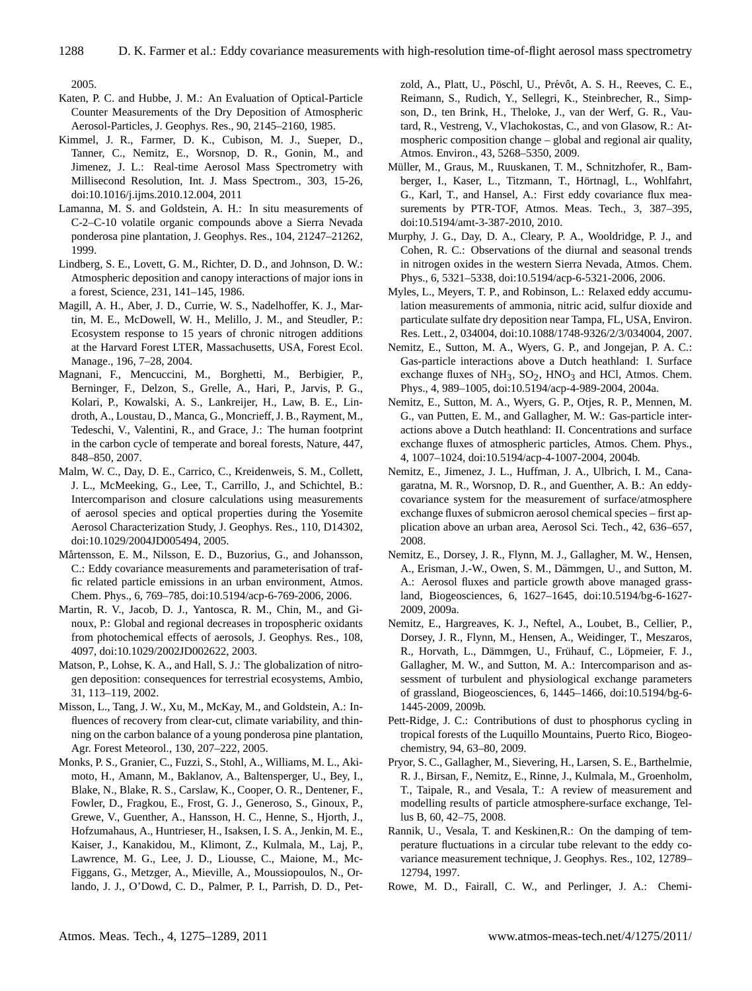2005.

- Katen, P. C. and Hubbe, J. M.: An Evaluation of Optical-Particle Counter Measurements of the Dry Deposition of Atmospheric Aerosol-Particles, J. Geophys. Res., 90, 2145–2160, 1985.
- Kimmel, J. R., Farmer, D. K., Cubison, M. J., Sueper, D., Tanner, C., Nemitz, E., Worsnop, D. R., Gonin, M., and Jimenez, J. L.: Real-time Aerosol Mass Spectrometry with Millisecond Resolution, Int. J. Mass Spectrom., 303, 15-26, [doi:10.1016/j.ijms.2010.12.004,](http://dx.doi.org/10.1016/j.ijms.2010.12.004) 2011
- Lamanna, M. S. and Goldstein, A. H.: In situ measurements of C-2–C-10 volatile organic compounds above a Sierra Nevada ponderosa pine plantation, J. Geophys. Res., 104, 21247–21262, 1999.
- Lindberg, S. E., Lovett, G. M., Richter, D. D., and Johnson, D. W.: Atmospheric deposition and canopy interactions of major ions in a forest, Science, 231, 141–145, 1986.
- Magill, A. H., Aber, J. D., Currie, W. S., Nadelhoffer, K. J., Martin, M. E., McDowell, W. H., Melillo, J. M., and Steudler, P.: Ecosystem response to 15 years of chronic nitrogen additions at the Harvard Forest LTER, Massachusetts, USA, Forest Ecol. Manage., 196, 7–28, 2004.
- Magnani, F., Mencuccini, M., Borghetti, M., Berbigier, P., Berninger, F., Delzon, S., Grelle, A., Hari, P., Jarvis, P. G., Kolari, P., Kowalski, A. S., Lankreijer, H., Law, B. E., Lindroth, A., Loustau, D., Manca, G., Moncrieff, J. B., Rayment, M., Tedeschi, V., Valentini, R., and Grace, J.: The human footprint in the carbon cycle of temperate and boreal forests, Nature, 447, 848–850, 2007.
- Malm, W. C., Day, D. E., Carrico, C., Kreidenweis, S. M., Collett, J. L., McMeeking, G., Lee, T., Carrillo, J., and Schichtel, B.: Intercomparison and closure calculations using measurements of aerosol species and optical properties during the Yosemite Aerosol Characterization Study, J. Geophys. Res., 110, D14302, [doi:10.1029/2004JD005494,](http://dx.doi.org/10.1029/2004JD005494) 2005.
- Mårtensson, E. M., Nilsson, E. D., Buzorius, G., and Johansson, C.: Eddy covariance measurements and parameterisation of traffic related particle emissions in an urban environment, Atmos. Chem. Phys., 6, 769–785, [doi:10.5194/acp-6-769-2006,](http://dx.doi.org/10.5194/acp-6-769-2006) 2006.
- Martin, R. V., Jacob, D. J., Yantosca, R. M., Chin, M., and Ginoux, P.: Global and regional decreases in tropospheric oxidants from photochemical effects of aerosols, J. Geophys. Res., 108, 4097, [doi:10.1029/2002JD002622,](http://dx.doi.org/10.1029/2002JD002622) 2003.
- Matson, P., Lohse, K. A., and Hall, S. J.: The globalization of nitrogen deposition: consequences for terrestrial ecosystems, Ambio, 31, 113–119, 2002.
- Misson, L., Tang, J. W., Xu, M., McKay, M., and Goldstein, A.: Influences of recovery from clear-cut, climate variability, and thinning on the carbon balance of a young ponderosa pine plantation, Agr. Forest Meteorol., 130, 207–222, 2005.
- Monks, P. S., Granier, C., Fuzzi, S., Stohl, A., Williams, M. L., Akimoto, H., Amann, M., Baklanov, A., Baltensperger, U., Bey, I., Blake, N., Blake, R. S., Carslaw, K., Cooper, O. R., Dentener, F., Fowler, D., Fragkou, E., Frost, G. J., Generoso, S., Ginoux, P., Grewe, V., Guenther, A., Hansson, H. C., Henne, S., Hjorth, J., Hofzumahaus, A., Huntrieser, H., Isaksen, I. S. A., Jenkin, M. E., Kaiser, J., Kanakidou, M., Klimont, Z., Kulmala, M., Laj, P., Lawrence, M. G., Lee, J. D., Liousse, C., Maione, M., Mc-Figgans, G., Metzger, A., Mieville, A., Moussiopoulos, N., Orlando, J. J., O'Dowd, C. D., Palmer, P. I., Parrish, D. D., Pet-

zold, A., Platt, U., Pöschl, U., Prévôt, A. S. H., Reeves, C. E., Reimann, S., Rudich, Y., Sellegri, K., Steinbrecher, R., Simpson, D., ten Brink, H., Theloke, J., van der Werf, G. R., Vautard, R., Vestreng, V., Vlachokostas, C., and von Glasow, R.: Atmospheric composition change – global and regional air quality, Atmos. Environ., 43, 5268–5350, 2009.

- Müller, M., Graus, M., Ruuskanen, T. M., Schnitzhofer, R., Bamberger, I., Kaser, L., Titzmann, T., Hörtnagl, L., Wohlfahrt, G., Karl, T., and Hansel, A.: First eddy covariance flux measurements by PTR-TOF, Atmos. Meas. Tech., 3, 387-395, [doi:10.5194/amt-3-387-2010,](http://dx.doi.org/10.5194/amt-3-387-2010) 2010.
- Murphy, J. G., Day, D. A., Cleary, P. A., Wooldridge, P. J., and Cohen, R. C.: Observations of the diurnal and seasonal trends in nitrogen oxides in the western Sierra Nevada, Atmos. Chem. Phys., 6, 5321–5338, [doi:10.5194/acp-6-5321-2006,](http://dx.doi.org/10.5194/acp-6-5321-2006) 2006.
- Myles, L., Meyers, T. P., and Robinson, L.: Relaxed eddy accumulation measurements of ammonia, nitric acid, sulfur dioxide and particulate sulfate dry deposition near Tampa, FL, USA, Environ. Res. Lett., 2, 034004, [doi:10.1088/1748-9326/2/3/034004,](http://dx.doi.org/10.1088/1748-9326/2/3/034004) 2007.
- Nemitz, E., Sutton, M. A., Wyers, G. P., and Jongejan, P. A. C.: Gas-particle interactions above a Dutch heathland: I. Surface exchange fluxes of  $NH_3$ ,  $SO_2$ ,  $HNO_3$  and HCl, Atmos. Chem. Phys., 4, 989–1005, [doi:10.5194/acp-4-989-2004,](http://dx.doi.org/10.5194/acp-4-989-2004) 2004a.
- Nemitz, E., Sutton, M. A., Wyers, G. P., Otjes, R. P., Mennen, M. G., van Putten, E. M., and Gallagher, M. W.: Gas-particle interactions above a Dutch heathland: II. Concentrations and surface exchange fluxes of atmospheric particles, Atmos. Chem. Phys., 4, 1007–1024, [doi:10.5194/acp-4-1007-2004,](http://dx.doi.org/10.5194/acp-4-1007-2004) 2004b.
- Nemitz, E., Jimenez, J. L., Huffman, J. A., Ulbrich, I. M., Canagaratna, M. R., Worsnop, D. R., and Guenther, A. B.: An eddycovariance system for the measurement of surface/atmosphere exchange fluxes of submicron aerosol chemical species – first application above an urban area, Aerosol Sci. Tech., 42, 636–657, 2008.
- Nemitz, E., Dorsey, J. R., Flynn, M. J., Gallagher, M. W., Hensen, A., Erisman, J.-W., Owen, S. M., Dämmgen, U., and Sutton, M. A.: Aerosol fluxes and particle growth above managed grassland, Biogeosciences, 6, 1627–1645, [doi:10.5194/bg-6-1627-](http://dx.doi.org/10.5194/bg-6-1627-2009) [2009,](http://dx.doi.org/10.5194/bg-6-1627-2009) 2009a.
- Nemitz, E., Hargreaves, K. J., Neftel, A., Loubet, B., Cellier, P., Dorsey, J. R., Flynn, M., Hensen, A., Weidinger, T., Meszaros, R., Horvath, L., Dämmgen, U., Frühauf, C., Löpmeier, F. J., Gallagher, M. W., and Sutton, M. A.: Intercomparison and assessment of turbulent and physiological exchange parameters of grassland, Biogeosciences, 6, 1445–1466, [doi:10.5194/bg-6-](http://dx.doi.org/10.5194/bg-6-1445-2009) [1445-2009,](http://dx.doi.org/10.5194/bg-6-1445-2009) 2009b.
- Pett-Ridge, J. C.: Contributions of dust to phosphorus cycling in tropical forests of the Luquillo Mountains, Puerto Rico, Biogeochemistry, 94, 63–80, 2009.
- Pryor, S. C., Gallagher, M., Sievering, H., Larsen, S. E., Barthelmie, R. J., Birsan, F., Nemitz, E., Rinne, J., Kulmala, M., Groenholm, T., Taipale, R., and Vesala, T.: A review of measurement and modelling results of particle atmosphere-surface exchange, Tellus B, 60, 42–75, 2008.
- Rannik, U., Vesala, T. and Keskinen,R.: On the damping of temperature fluctuations in a circular tube relevant to the eddy covariance measurement technique, J. Geophys. Res., 102, 12789– 12794, 1997.
- Rowe, M. D., Fairall, C. W., and Perlinger, J. A.: Chemi-